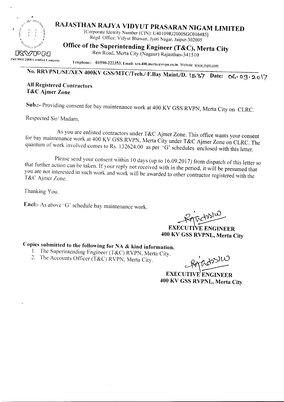

## **RAJASTHAN RAJY A VIDYUT PRASARAN NIGAM LIMITED**

[Corporate Identity Number (CIN): U40 I09RJ2000SGCO 16485] Regd. Office: Vidyut Bhawan, Jyoti Nagar, Jaipur-302005

## **Office of the Superintending Engineer (T&C), Merta City**

 $\sqrt{R}$  $\sqrt{P}$  $\sim$  Ren Road, Merta City (Nagaur) Rajasthan-34 15 I0 ISO 9001:2008 Certified Company

Telephone:- 01590-222353, Email: xen.400.merta@rvpn.co.in; Website: www.rvpn.com

# **No. RRVPNLlSE/XEN 400KV GSS/MTC/Tech.l F.Bay Maint.!D. \s ~7 Date: Qt.- 09.2.0 \7**

#### **All Registered Contractors T&C Ajmer Zone**

**Sub.:-** Providing consent for bay maintenance work at 400 **KV** GSS RVPN, Merta City on CLRC.

Respected Sir/ Madam,

As you are enlisted contractors under T&C Ajmer Zone. This office wants your consent for bay maintenance work at 400 KV GSS RVPN, Merta City under T&C Ajmer Zone on CLRC. The quantum of work involved comes to Rs. 132624.00 as per 'G' schedules enclosed with this letter.

Please send your consent within 10 days (up to 16.09.2017) from dispatch of this letter so that further action can be taken. If your reply not received with in the period, it will be presumed that you are not interested in such work and work will be awarded to other contractor registered with the T&C Ajmer Zone.

Thanking You.

**Encl:-** As above 'G' schedule bay maintenance work.

 $\pi d v^{\rm M}$ 

EXECUTIVE ENGINEER **400 KV GSS RVPNL, Merta City**

### **Copies submitted to the following for NA & kind information.**

- 1. The Superintending Engineer (T&C) RVPN, Merta City.<br>2. The Accounts Officer (T&C) RVPN, Merta City.
- 2. The Accounts Officer (T&C) RVPN, Merta City.

**EXECUTIVE** ENGINEER **400 KV GSS RVPNL, Merta City**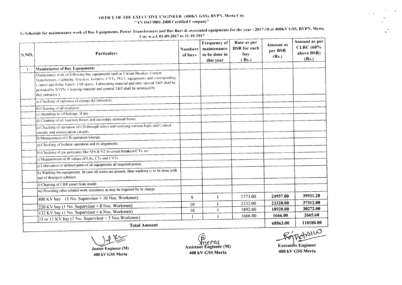#### OFFICE OF THE EXECUTIVE ENGINEER (400KV GSS), RVPN, Merta City "AN ISO 9001-2008 Certified Company"

G-Schedule for maintenance work of Bay Equipments, Power Transformers and Bus Bars & associated equipments for the year : 2017-18 at 400KV GSS, RVPN, Merta City w.e.f. 01-09-2017 to 31-10-2017

| $\mathsf{S}.\mathsf{NO}.$ | <b>Particulars</b>                                                                                                                                                                                                                                                                                                                                                 | Numbers<br>of bays | Frequency of<br>maintenance<br>to be done in<br>this year | Rate as per<br><b>BSR</b> for each<br>bay<br>(Rs.) | <b>Amount as</b><br>per BSR<br>(Rs.) | Amount as per<br><b>CLRC</b> (60%<br>above BSR)<br>(Rs.) |
|---------------------------|--------------------------------------------------------------------------------------------------------------------------------------------------------------------------------------------------------------------------------------------------------------------------------------------------------------------------------------------------------------------|--------------------|-----------------------------------------------------------|----------------------------------------------------|--------------------------------------|----------------------------------------------------------|
|                           | Maintenance of Bay Equipments                                                                                                                                                                                                                                                                                                                                      |                    |                                                           |                                                    |                                      |                                                          |
|                           | Maintenance work of following bay equipments such as Circuit Breaker. Current<br>Transformers, Lightning Arrestors, Isolators, CVTs, PLCC equipments and corresponding<br>Control and Relay Panels. (All spares, Lubricating material and only special T&P shall be<br>provided by RVPN. Cleaning material and general T&P shall be arranged by<br>theContractor.) |                    |                                                           |                                                    |                                      |                                                          |
|                           | a) Checking of tightness of clamps & Connectors.                                                                                                                                                                                                                                                                                                                   |                    |                                                           |                                                    |                                      |                                                          |
|                           | b) Cleaning of all insulators.                                                                                                                                                                                                                                                                                                                                     |                    |                                                           |                                                    |                                      |                                                          |
|                           | c) Attending to oil leakage. if any.                                                                                                                                                                                                                                                                                                                               |                    |                                                           |                                                    |                                      |                                                          |
|                           | d) Cleaning of all Junction Boxes and secondary terminal boxes.                                                                                                                                                                                                                                                                                                    |                    |                                                           |                                                    |                                      |                                                          |
|                           | c) Checking of operation of CB through relays and verifying various logic and Control<br>circuits and annunciation circuits.                                                                                                                                                                                                                                       |                    |                                                           |                                                    |                                      |                                                          |
|                           | f) Measurement of CB operation timings.                                                                                                                                                                                                                                                                                                                            |                    |                                                           |                                                    |                                      |                                                          |
|                           | $\overline{g}$ ) Checking of Isolator operation and its alignments.                                                                                                                                                                                                                                                                                                |                    |                                                           |                                                    |                                      |                                                          |
|                           | h) Checking of gas pressures like SF6 & N2 in circuit breakers/CTs. etc.                                                                                                                                                                                                                                                                                           |                    |                                                           |                                                    |                                      |                                                          |
|                           | i) Measurement of IR values of LAs, CTs and CVTs.                                                                                                                                                                                                                                                                                                                  |                    |                                                           |                                                    |                                      |                                                          |
|                           | i) Lubrication of defined parts of all equipments all required points.                                                                                                                                                                                                                                                                                             |                    |                                                           |                                                    |                                      |                                                          |
|                           | k) Washing the equipments. In case oil stains are present, then washing is to be done with<br>use of detergent solution.                                                                                                                                                                                                                                           |                    |                                                           |                                                    |                                      |                                                          |
|                           | 1) Cleaning of C&R panel from inside.                                                                                                                                                                                                                                                                                                                              |                    |                                                           |                                                    |                                      |                                                          |
|                           | m) Providing other related work assistance as may be required by In charge.                                                                                                                                                                                                                                                                                        |                    |                                                           |                                                    |                                      |                                                          |
|                           | 400 KV bay (1 No. Supervisor + 10 Nos. Workmen)                                                                                                                                                                                                                                                                                                                    | 9                  | 1                                                         | 2773.00                                            | 24957.00                             | 39931.20                                                 |
|                           | 220 KV bay (1 No. Supervisor + 8 Nos. Workmen)                                                                                                                                                                                                                                                                                                                     | 10                 | 1                                                         | 2332.00                                            | 23320.00                             | 37312.00                                                 |
|                           | 132 KV bay (1 No. Supervisor + 6 Nos. Workmen)                                                                                                                                                                                                                                                                                                                     | 10                 | -1                                                        | 1892.00                                            | 18920.00                             | 30272.00                                                 |
|                           | 33 or 11 KV bay (1 No. Supervisor + 5 Nos. Workmen)                                                                                                                                                                                                                                                                                                                | -1                 | $\mathbf{1}$                                              | 1666.00                                            | 1666.00                              | 2665.60                                                  |
| <b>Total Amount</b>       |                                                                                                                                                                                                                                                                                                                                                                    |                    |                                                           |                                                    |                                      | 110180.80                                                |

Junior Engineer (M)

400 kV GSS Merta

Assistant Engineer (M) 400 kV GSS Merta

Executive Engineer 400 kV GSS Merta